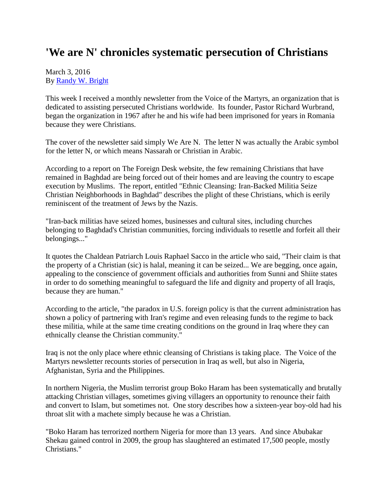## **'We are N' chronicles systematic persecution of Christians**

## March 3, 2016 By [Randy W. Bright](http://www.tulsabeacon.com/author/slug-o6yd1v)

This week I received a monthly newsletter from the Voice of the Martyrs, an organization that is dedicated to assisting persecuted Christians worldwide. Its founder, Pastor Richard Wurbrand, began the organization in 1967 after he and his wife had been imprisoned for years in Romania because they were Christians.

The cover of the newsletter said simply We Are N. The letter N was actually the Arabic symbol for the letter N, or which means Nassarah or Christian in Arabic.

According to a report on The Foreign Desk website, the few remaining Christians that have remained in Baghdad are being forced out of their homes and are leaving the country to escape execution by Muslims. The report, entitled "Ethnic Cleansing: Iran-Backed Militia Seize Christian Neighborhoods in Baghdad" describes the plight of these Christians, which is eerily reminiscent of the treatment of Jews by the Nazis.

"Iran-back militias have seized homes, businesses and cultural sites, including churches belonging to Baghdad's Christian communities, forcing individuals to resettle and forfeit all their belongings..."

It quotes the Chaldean Patriarch Louis Raphael Sacco in the article who said, "Their claim is that the property of a Christian (sic) is halal, meaning it can be seized... We are begging, once again, appealing to the conscience of government officials and authorities from Sunni and Shiite states in order to do something meaningful to safeguard the life and dignity and property of all Iraqis, because they are human."

According to the article, "the paradox in U.S. foreign policy is that the current administration has shown a policy of partnering with Iran's regime and even releasing funds to the regime to back these militia, while at the same time creating conditions on the ground in Iraq where they can ethnically cleanse the Christian community."

Iraq is not the only place where ethnic cleansing of Christians is taking place. The Voice of the Martyrs newsletter recounts stories of persecution in Iraq as well, but also in Nigeria, Afghanistan, Syria and the Philippines.

In northern Nigeria, the Muslim terrorist group Boko Haram has been systematically and brutally attacking Christian villages, sometimes giving villagers an opportunity to renounce their faith and convert to Islam, but sometimes not. One story describes how a sixteen-year boy-old had his throat slit with a machete simply because he was a Christian.

"Boko Haram has terrorized northern Nigeria for more than 13 years. And since Abubakar Shekau gained control in 2009, the group has slaughtered an estimated 17,500 people, mostly Christians."